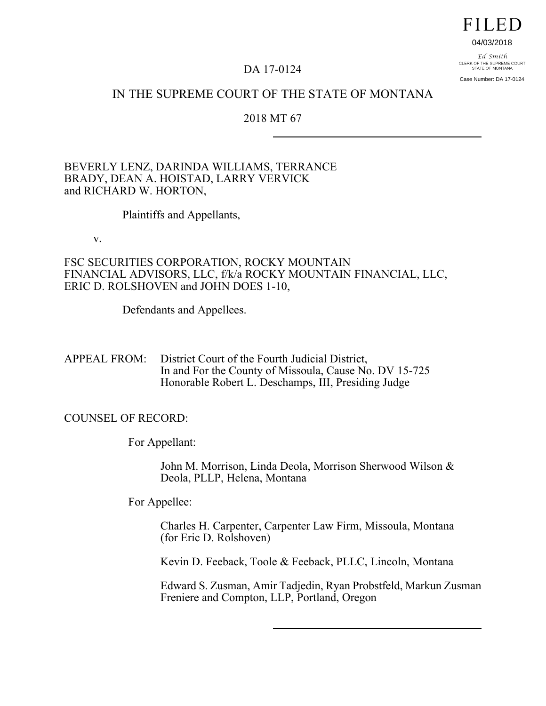# **FILED**

#### 04/03/2018

Ed Smith CLERK OF THE SUPREME COURT<br>STATE OF MONTANA Case Number: DA 17-0124

## DA 17-0124

# IN THE SUPREME COURT OF THE STATE OF MONTANA

### 2018 MT 67

BEVERLY LENZ, DARINDA WILLIAMS, TERRANCE BRADY, DEAN A. HOISTAD, LARRY VERVICK and RICHARD W. HORTON,

Plaintiffs and Appellants,

v.

FSC SECURITIES CORPORATION, ROCKY MOUNTAIN FINANCIAL ADVISORS, LLC, f/k/a ROCKY MOUNTAIN FINANCIAL, LLC, ERIC D. ROLSHOVEN and JOHN DOES 1-10,

Defendants and Appellees.

APPEAL FROM: District Court of the Fourth Judicial District, In and For the County of Missoula, Cause No. DV 15-725 Honorable Robert L. Deschamps, III, Presiding Judge

COUNSEL OF RECORD:

For Appellant:

John M. Morrison, Linda Deola, Morrison Sherwood Wilson & Deola, PLLP, Helena, Montana

For Appellee:

Charles H. Carpenter, Carpenter Law Firm, Missoula, Montana (for Eric D. Rolshoven)

Kevin D. Feeback, Toole & Feeback, PLLC, Lincoln, Montana

Edward S. Zusman, Amir Tadjedin, Ryan Probstfeld, Markun Zusman Freniere and Compton, LLP, Portland, Oregon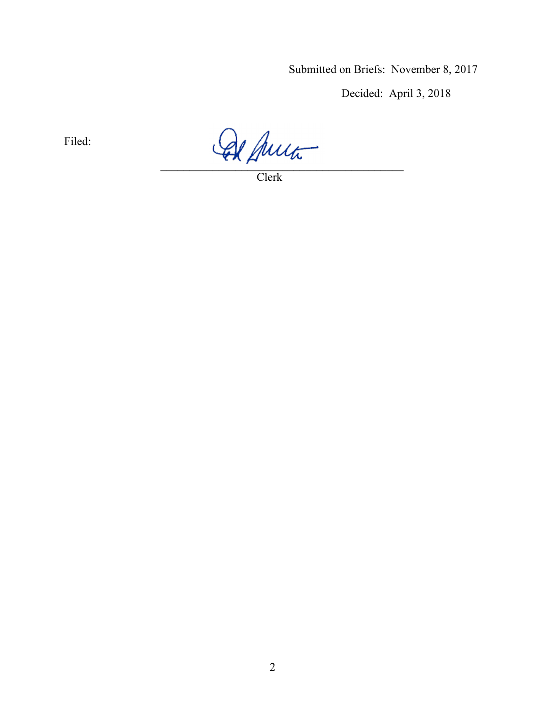Submitted on Briefs: November 8, 2017

Decided: April 3, 2018

Filed:

 $\mathcal{L}=\mathcal{L}^{\mathcal{L}}\mathcal{L}^{\mathcal{L}}$ 

Clerk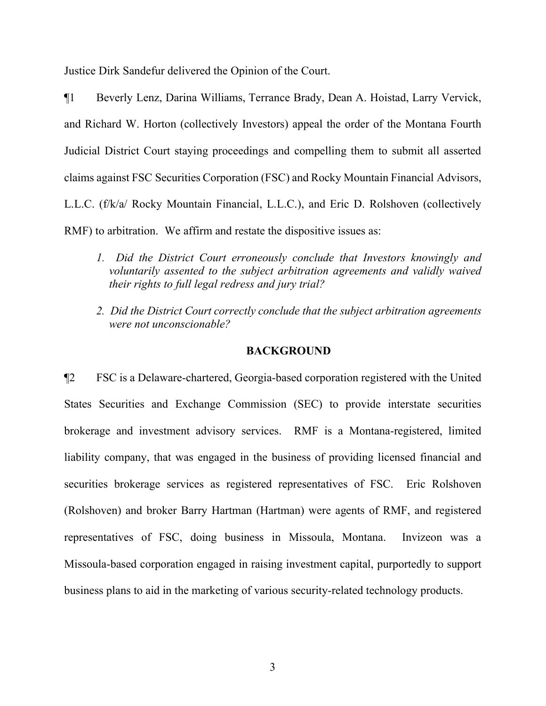Justice Dirk Sandefur delivered the Opinion of the Court.

¶1 Beverly Lenz, Darina Williams, Terrance Brady, Dean A. Hoistad, Larry Vervick, and Richard W. Horton (collectively Investors) appeal the order of the Montana Fourth Judicial District Court staying proceedings and compelling them to submit all asserted claims against FSC Securities Corporation (FSC) and Rocky Mountain Financial Advisors, L.L.C. (f/k/a/ Rocky Mountain Financial, L.L.C.), and Eric D. Rolshoven (collectively RMF) to arbitration. We affirm and restate the dispositive issues as:

- *1. Did the District Court erroneously conclude that Investors knowingly and voluntarily assented to the subject arbitration agreements and validly waived their rights to full legal redress and jury trial?*
- *2. Did the District Court correctly conclude that the subject arbitration agreements were not unconscionable?*

### **BACKGROUND**

¶2 FSC is a Delaware-chartered, Georgia-based corporation registered with the United States Securities and Exchange Commission (SEC) to provide interstate securities brokerage and investment advisory services. RMF is a Montana-registered, limited liability company, that was engaged in the business of providing licensed financial and securities brokerage services as registered representatives of FSC. Eric Rolshoven (Rolshoven) and broker Barry Hartman (Hartman) were agents of RMF, and registered representatives of FSC, doing business in Missoula, Montana. Invizeon was a Missoula-based corporation engaged in raising investment capital, purportedly to support business plans to aid in the marketing of various security-related technology products.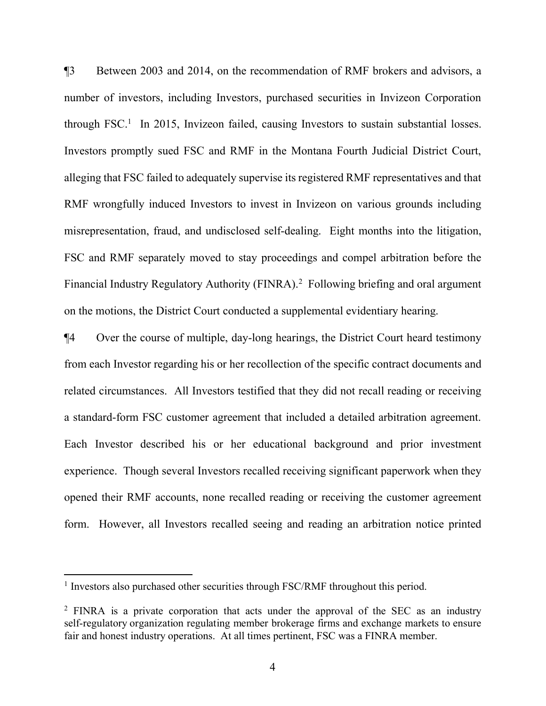¶3 Between 2003 and 2014, on the recommendation of RMF brokers and advisors, a number of investors, including Investors, purchased securities in Invizeon Corporation through FSC. [1](#page-3-0) In 2015, Invizeon failed, causing Investors to sustain substantial losses. Investors promptly sued FSC and RMF in the Montana Fourth Judicial District Court, alleging that FSC failed to adequately supervise its registered RMF representatives and that RMF wrongfully induced Investors to invest in Invizeon on various grounds including misrepresentation, fraud, and undisclosed self-dealing. Eight months into the litigation, FSC and RMF separately moved to stay proceedings and compel arbitration before the Financial Industry Regulatory Authority (FINRA).<sup>[2](#page-3-1)</sup> Following briefing and oral argument on the motions, the District Court conducted a supplemental evidentiary hearing.

¶4 Over the course of multiple, day-long hearings, the District Court heard testimony from each Investor regarding his or her recollection of the specific contract documents and related circumstances. All Investors testified that they did not recall reading or receiving a standard-form FSC customer agreement that included a detailed arbitration agreement. Each Investor described his or her educational background and prior investment experience. Though several Investors recalled receiving significant paperwork when they opened their RMF accounts, none recalled reading or receiving the customer agreement form. However, all Investors recalled seeing and reading an arbitration notice printed

<span id="page-3-0"></span><sup>&</sup>lt;sup>1</sup> Investors also purchased other securities through FSC/RMF throughout this period.

<span id="page-3-1"></span><sup>&</sup>lt;sup>2</sup> FINRA is a private corporation that acts under the approval of the SEC as an industry self-regulatory organization regulating member brokerage firms and exchange markets to ensure fair and honest industry operations. At all times pertinent, FSC was a FINRA member.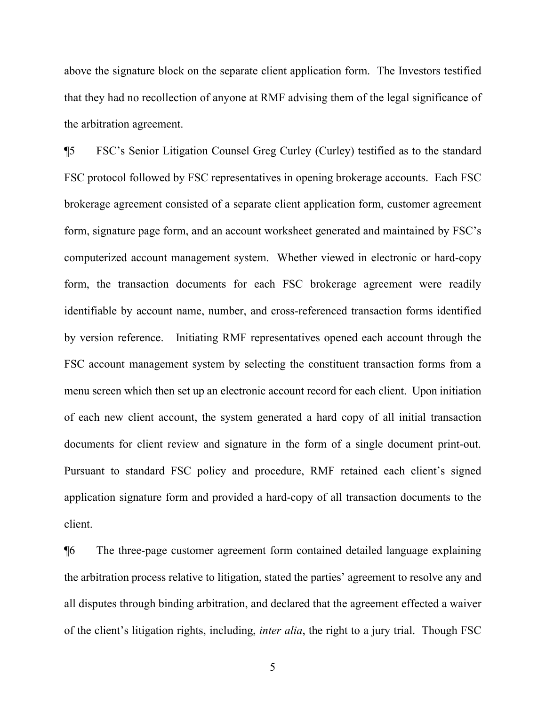above the signature block on the separate client application form. The Investors testified that they had no recollection of anyone at RMF advising them of the legal significance of the arbitration agreement.

¶5 FSC's Senior Litigation Counsel Greg Curley (Curley) testified as to the standard FSC protocol followed by FSC representatives in opening brokerage accounts. Each FSC brokerage agreement consisted of a separate client application form, customer agreement form, signature page form, and an account worksheet generated and maintained by FSC's computerized account management system. Whether viewed in electronic or hard-copy form, the transaction documents for each FSC brokerage agreement were readily identifiable by account name, number, and cross-referenced transaction forms identified by version reference. Initiating RMF representatives opened each account through the FSC account management system by selecting the constituent transaction forms from a menu screen which then set up an electronic account record for each client. Upon initiation of each new client account, the system generated a hard copy of all initial transaction documents for client review and signature in the form of a single document print-out. Pursuant to standard FSC policy and procedure, RMF retained each client's signed application signature form and provided a hard-copy of all transaction documents to the client.

¶6 The three-page customer agreement form contained detailed language explaining the arbitration process relative to litigation, stated the parties' agreement to resolve any and all disputes through binding arbitration, and declared that the agreement effected a waiver of the client's litigation rights, including, *inter alia*, the right to a jury trial. Though FSC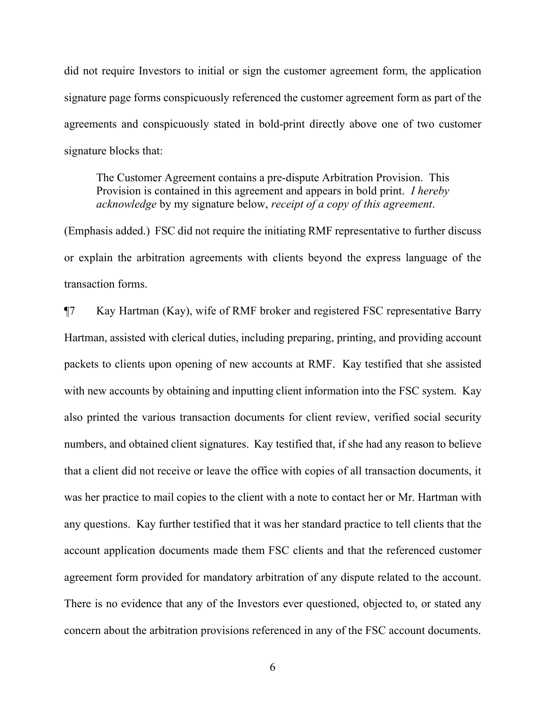did not require Investors to initial or sign the customer agreement form, the application signature page forms conspicuously referenced the customer agreement form as part of the agreements and conspicuously stated in bold-print directly above one of two customer signature blocks that:

The Customer Agreement contains a pre-dispute Arbitration Provision. This Provision is contained in this agreement and appears in bold print. *I hereby acknowledge* by my signature below, *receipt of a copy of this agreement*.

(Emphasis added.) FSC did not require the initiating RMF representative to further discuss or explain the arbitration agreements with clients beyond the express language of the transaction forms.

¶7 Kay Hartman (Kay), wife of RMF broker and registered FSC representative Barry Hartman, assisted with clerical duties, including preparing, printing, and providing account packets to clients upon opening of new accounts at RMF. Kay testified that she assisted with new accounts by obtaining and inputting client information into the FSC system. Kay also printed the various transaction documents for client review, verified social security numbers, and obtained client signatures. Kay testified that, if she had any reason to believe that a client did not receive or leave the office with copies of all transaction documents, it was her practice to mail copies to the client with a note to contact her or Mr. Hartman with any questions. Kay further testified that it was her standard practice to tell clients that the account application documents made them FSC clients and that the referenced customer agreement form provided for mandatory arbitration of any dispute related to the account. There is no evidence that any of the Investors ever questioned, objected to, or stated any concern about the arbitration provisions referenced in any of the FSC account documents.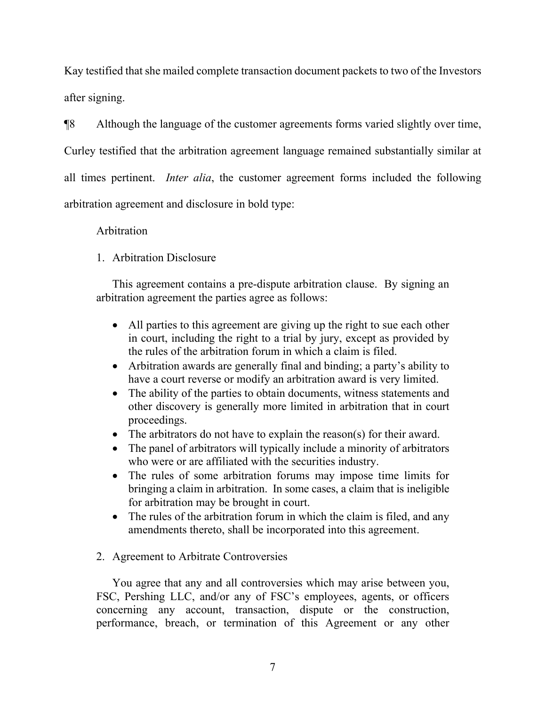Kay testified that she mailed complete transaction document packets to two of the Investors after signing.

¶8 Although the language of the customer agreements forms varied slightly over time, Curley testified that the arbitration agreement language remained substantially similar at all times pertinent. *Inter alia*, the customer agreement forms included the following arbitration agreement and disclosure in bold type:

## Arbitration

# 1. Arbitration Disclosure

This agreement contains a pre-dispute arbitration clause. By signing an arbitration agreement the parties agree as follows:

- All parties to this agreement are giving up the right to sue each other in court, including the right to a trial by jury, except as provided by the rules of the arbitration forum in which a claim is filed.
- Arbitration awards are generally final and binding; a party's ability to have a court reverse or modify an arbitration award is very limited.
- The ability of the parties to obtain documents, witness statements and other discovery is generally more limited in arbitration that in court proceedings.
- The arbitrators do not have to explain the reason(s) for their award.
- The panel of arbitrators will typically include a minority of arbitrators who were or are affiliated with the securities industry.
- The rules of some arbitration forums may impose time limits for bringing a claim in arbitration. In some cases, a claim that is ineligible for arbitration may be brought in court.
- The rules of the arbitration forum in which the claim is filed, and any amendments thereto, shall be incorporated into this agreement.

# 2. Agreement to Arbitrate Controversies

You agree that any and all controversies which may arise between you, FSC, Pershing LLC, and/or any of FSC's employees, agents, or officers concerning any account, transaction, dispute or the construction, performance, breach, or termination of this Agreement or any other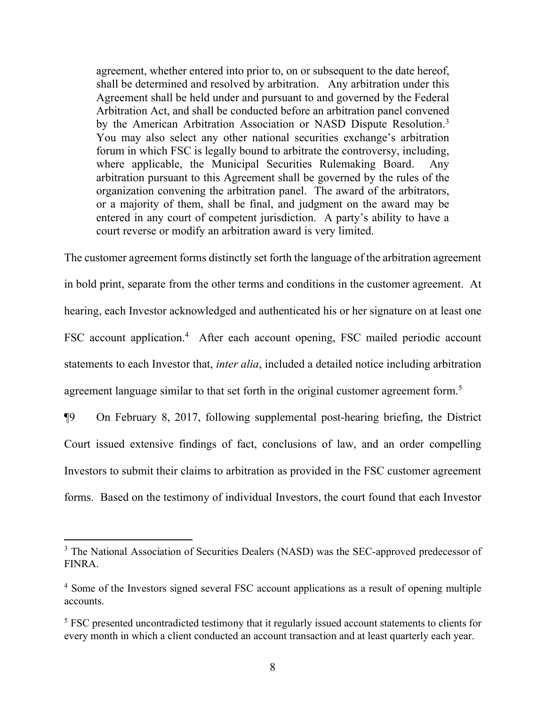agreement, whether entered into prior to, on or subsequent to the date hereof, shall be determined and resolved by arbitration. Any arbitration under this Agreement shall be held under and pursuant to and governed by the Federal Arbitration Act, and shall be conducted before an arbitration panel convened by the American Arbitration Association or NASD Dispute Resolution.<sup>[3](#page-7-0)</sup> You may also select any other national securities exchange's arbitration forum in which FSC is legally bound to arbitrate the controversy, including, where applicable, the Municipal Securities Rulemaking Board. Any arbitration pursuant to this Agreement shall be governed by the rules of the organization convening the arbitration panel. The award of the arbitrators, or a majority of them, shall be final, and judgment on the award may be entered in any court of competent jurisdiction. A party's ability to have a court reverse or modify an arbitration award is very limited.

The customer agreement forms distinctly set forth the language of the arbitration agreement in bold print, separate from the other terms and conditions in the customer agreement. At hearing, each Investor acknowledged and authenticated his or her signature on at least one FSC account application.<sup>[4](#page-7-1)</sup> After each account opening, FSC mailed periodic account statements to each Investor that, *inter alia*, included a detailed notice including arbitration agreement language similar to that set forth in the original customer agreement form.<sup>[5](#page-7-2)</sup>

¶9 On February 8, 2017, following supplemental post-hearing briefing, the District Court issued extensive findings of fact, conclusions of law, and an order compelling Investors to submit their claims to arbitration as provided in the FSC customer agreement forms. Based on the testimony of individual Investors, the court found that each Investor

<span id="page-7-0"></span><sup>&</sup>lt;sup>3</sup> The National Association of Securities Dealers (NASD) was the SEC-approved predecessor of FINRA.

<span id="page-7-1"></span><sup>4</sup> Some of the Investors signed several FSC account applications as a result of opening multiple accounts.

<span id="page-7-2"></span><sup>&</sup>lt;sup>5</sup> FSC presented uncontradicted testimony that it regularly issued account statements to clients for every month in which a client conducted an account transaction and at least quarterly each year.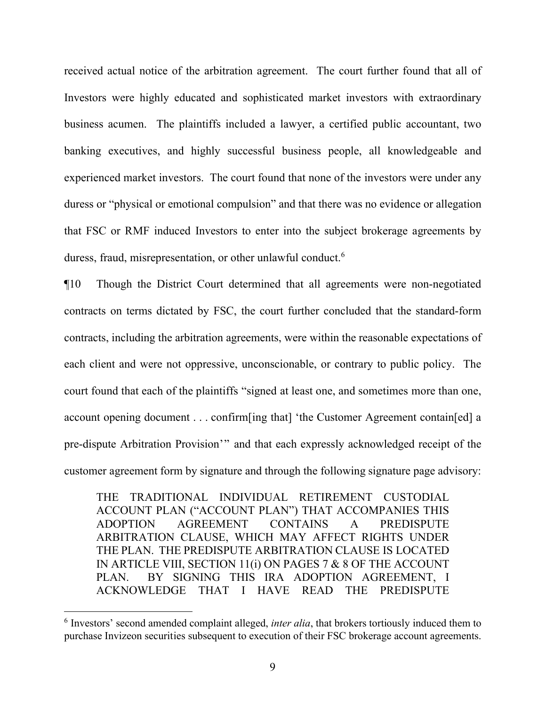received actual notice of the arbitration agreement. The court further found that all of Investors were highly educated and sophisticated market investors with extraordinary business acumen. The plaintiffs included a lawyer, a certified public accountant, two banking executives, and highly successful business people, all knowledgeable and experienced market investors. The court found that none of the investors were under any duress or "physical or emotional compulsion" and that there was no evidence or allegation that FSC or RMF induced Investors to enter into the subject brokerage agreements by duress, fraud, misrepresentation, or other unlawful conduct. [6](#page-8-0)

¶10 Though the District Court determined that all agreements were non-negotiated contracts on terms dictated by FSC, the court further concluded that the standard-form contracts, including the arbitration agreements, were within the reasonable expectations of each client and were not oppressive, unconscionable, or contrary to public policy. The court found that each of the plaintiffs "signed at least one, and sometimes more than one, account opening document . . . confirm[ing that] 'the Customer Agreement contain[ed] a pre-dispute Arbitration Provision'" and that each expressly acknowledged receipt of the customer agreement form by signature and through the following signature page advisory:

THE TRADITIONAL INDIVIDUAL RETIREMENT CUSTODIAL ACCOUNT PLAN ("ACCOUNT PLAN") THAT ACCOMPANIES THIS ADOPTION AGREEMENT CONTAINS A PREDISPUTE ARBITRATION CLAUSE, WHICH MAY AFFECT RIGHTS UNDER THE PLAN. THE PREDISPUTE ARBITRATION CLAUSE IS LOCATED IN ARTICLE VIII, SECTION 11(i) ON PAGES 7 & 8 OF THE ACCOUNT PLAN. BY SIGNING THIS IRA ADOPTION AGREEMENT, I ACKNOWLEDGE THAT I HAVE READ THE PREDISPUTE

<span id="page-8-0"></span><sup>&</sup>lt;sup>6</sup> Investors' second amended complaint alleged, *inter alia*, that brokers tortiously induced them to purchase Invizeon securities subsequent to execution of their FSC brokerage account agreements.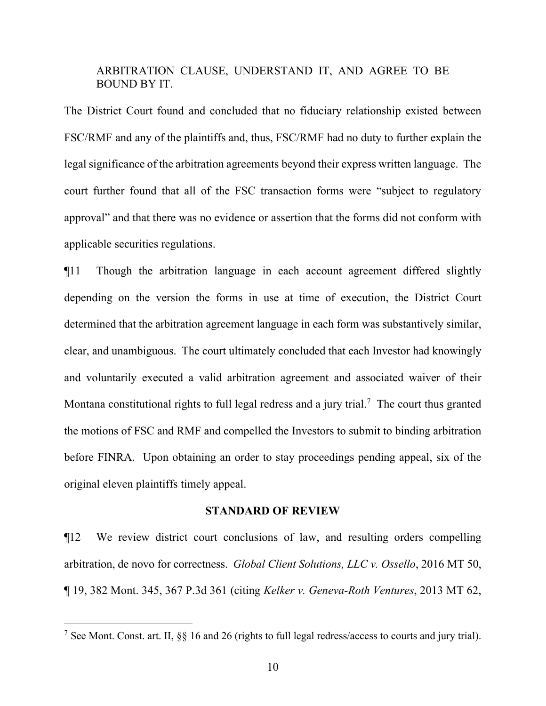### ARBITRATION CLAUSE, UNDERSTAND IT, AND AGREE TO BE BOUND BY IT.

The District Court found and concluded that no fiduciary relationship existed between FSC/RMF and any of the plaintiffs and, thus, FSC/RMF had no duty to further explain the legal significance of the arbitration agreements beyond their express written language. The court further found that all of the FSC transaction forms were "subject to regulatory approval" and that there was no evidence or assertion that the forms did not conform with applicable securities regulations.

¶11 Though the arbitration language in each account agreement differed slightly depending on the version the forms in use at time of execution, the District Court determined that the arbitration agreement language in each form was substantively similar, clear, and unambiguous. The court ultimately concluded that each Investor had knowingly and voluntarily executed a valid arbitration agreement and associated waiver of their Montana constitutional rights to full legal redress and a jury trial.<sup>[7](#page-9-0)</sup> The court thus granted the motions of FSC and RMF and compelled the Investors to submit to binding arbitration before FINRA. Upon obtaining an order to stay proceedings pending appeal, six of the original eleven plaintiffs timely appeal.

### **STANDARD OF REVIEW**

¶12 We review district court conclusions of law, and resulting orders compelling arbitration, de novo for correctness. *Global Client Solutions, LLC v. Ossello*, 2016 MT 50, ¶ 19, 382 Mont. 345, 367 P.3d 361 (citing *Kelker v. Geneva-Roth Ventures*, 2013 MT 62,

<span id="page-9-0"></span><sup>7</sup> See Mont. Const. art. II, §§ 16 and 26 (rights to full legal redress/access to courts and jury trial).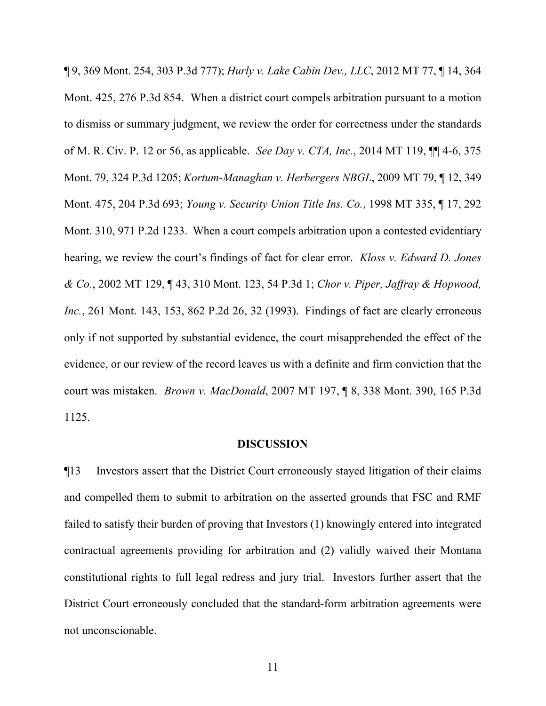¶ 9, 369 Mont. 254, 303 P.3d 777); *Hurly v. Lake Cabin Dev., LLC*, 2012 MT 77, ¶ 14, 364 Mont. 425, 276 P.3d 854. When a district court compels arbitration pursuant to a motion to dismiss or summary judgment, we review the order for correctness under the standards of M. R. Civ. P. 12 or 56, as applicable. *See Day v. CTA, Inc.*, 2014 MT 119, ¶¶ 4-6, 375 Mont. 79, 324 P.3d 1205; *Kortum-Managhan v. Herbergers NBGL*, 2009 MT 79, ¶ 12, 349 Mont. 475, 204 P.3d 693; *Young v. Security Union Title Ins. Co.*, 1998 MT 335, ¶ 17, 292 Mont. 310, 971 P.2d 1233. When a court compels arbitration upon a contested evidentiary hearing, we review the court's findings of fact for clear error. *Kloss v. Edward D. Jones & Co.*, 2002 MT 129, ¶ 43, 310 Mont. 123, 54 P.3d 1; *Chor v. Piper, Jaffray & Hopwood, Inc.*, 261 Mont. 143, 153, 862 P.2d 26, 32 (1993). Findings of fact are clearly erroneous only if not supported by substantial evidence, the court misapprehended the effect of the evidence, or our review of the record leaves us with a definite and firm conviction that the court was mistaken. *Brown v. MacDonald*, 2007 MT 197, ¶ 8, 338 Mont. 390, 165 P.3d 1125.

### **DISCUSSION**

¶13 Investors assert that the District Court erroneously stayed litigation of their claims and compelled them to submit to arbitration on the asserted grounds that FSC and RMF failed to satisfy their burden of proving that Investors (1) knowingly entered into integrated contractual agreements providing for arbitration and (2) validly waived their Montana constitutional rights to full legal redress and jury trial. Investors further assert that the District Court erroneously concluded that the standard-form arbitration agreements were not unconscionable.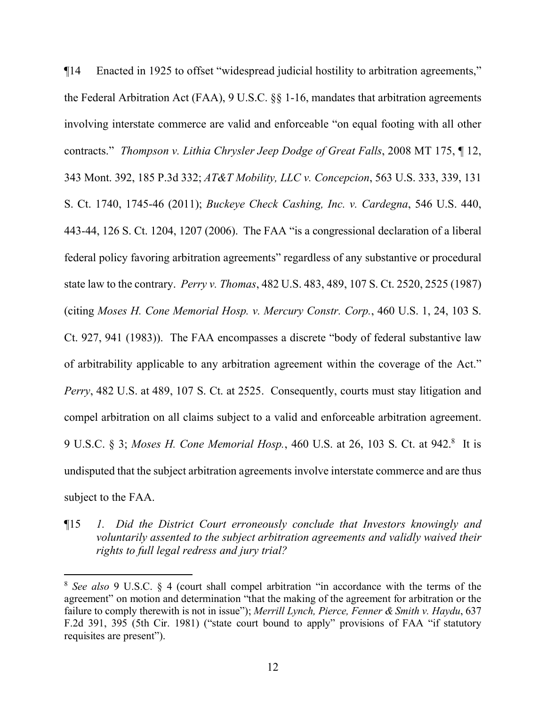¶14 Enacted in 1925 to offset "widespread judicial hostility to arbitration agreements," the Federal Arbitration Act (FAA), 9 U.S.C. §§ 1-16, mandates that arbitration agreements involving interstate commerce are valid and enforceable "on equal footing with all other contracts." *Thompson v. Lithia Chrysler Jeep Dodge of Great Falls*, 2008 MT 175, ¶ 12, 343 Mont. 392, 185 P.3d 332; *AT&T Mobility, LLC v. Concepcion*, 563 U.S. 333, 339, 131 S. Ct. 1740, 1745-46 (2011); *Buckeye Check Cashing, Inc. v. Cardegna*, 546 U.S. 440, 443-44, 126 S. Ct. 1204, 1207 (2006). The FAA "is a congressional declaration of a liberal federal policy favoring arbitration agreements" regardless of any substantive or procedural state law to the contrary. *Perry v. Thomas*, 482 U.S. 483, 489, 107 S. Ct. 2520, 2525 (1987) (citing *Moses H. Cone Memorial Hosp. v. Mercury Constr. Corp.*, 460 U.S. 1, 24, 103 S. Ct. 927, 941 (1983)). The FAA encompasses a discrete "body of federal substantive law of arbitrability applicable to any arbitration agreement within the coverage of the Act." *Perry*, 482 U.S. at 489, 107 S. Ct. at 2525. Consequently, courts must stay litigation and compel arbitration on all claims subject to a valid and enforceable arbitration agreement. 9 U.S.C. § 3; Moses H. Cone Memorial Hosp., 460 U.S. at 26, 103 S. Ct. at 942.<sup>[8](#page-11-0)</sup> It is undisputed that the subject arbitration agreements involve interstate commerce and are thus subject to the FAA.

¶15 *1. Did the District Court erroneously conclude that Investors knowingly and voluntarily assented to the subject arbitration agreements and validly waived their rights to full legal redress and jury trial?*

<span id="page-11-0"></span><sup>8</sup> *See also* 9 U.S.C. § 4 (court shall compel arbitration "in accordance with the terms of the agreement" on motion and determination "that the making of the agreement for arbitration or the failure to comply therewith is not in issue"); *Merrill Lynch, Pierce, Fenner & Smith v. Haydu*, 637 F.2d 391, 395 (5th Cir. 1981) ("state court bound to apply" provisions of FAA "if statutory requisites are present").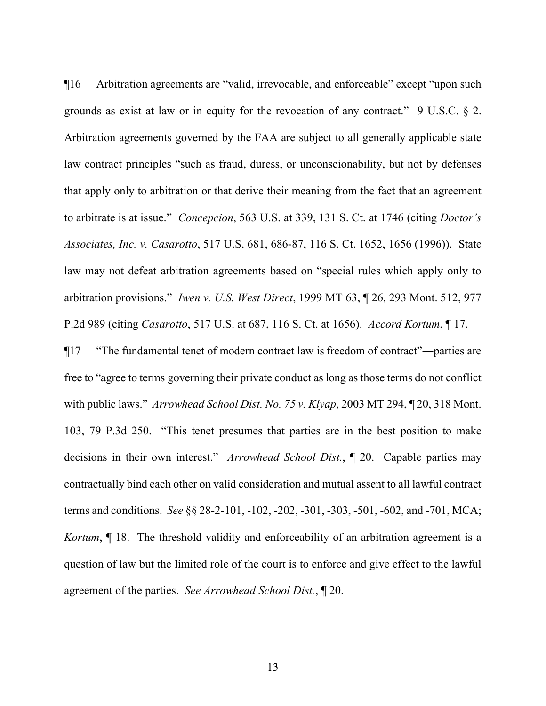¶16 Arbitration agreements are "valid, irrevocable, and enforceable" except "upon such grounds as exist at law or in equity for the revocation of any contract." 9 U.S.C. § 2. Arbitration agreements governed by the FAA are subject to all generally applicable state law contract principles "such as fraud, duress, or unconscionability, but not by defenses that apply only to arbitration or that derive their meaning from the fact that an agreement to arbitrate is at issue." *Concepcion*, 563 U.S. at 339, 131 S. Ct. at 1746 (citing *Doctor's Associates, Inc. v. Casarotto*, 517 U.S. 681, 686-87, 116 S. Ct. 1652, 1656 (1996)). State law may not defeat arbitration agreements based on "special rules which apply only to arbitration provisions." *Iwen v. U.S. West Direct*, 1999 MT 63, ¶ 26, 293 Mont. 512, 977 P.2d 989 (citing *Casarotto*, 517 U.S. at 687, 116 S. Ct. at 1656). *Accord Kortum*, ¶ 17.

¶17 "The fundamental tenet of modern contract law is freedom of contract"―parties are free to "agree to terms governing their private conduct as long as those terms do not conflict with public laws." *Arrowhead School Dist. No. 75 v. Klyap*, 2003 MT 294, ¶ 20, 318 Mont. 103, 79 P.3d 250. "This tenet presumes that parties are in the best position to make decisions in their own interest." *Arrowhead School Dist.*, ¶ 20. Capable parties may contractually bind each other on valid consideration and mutual assent to all lawful contract terms and conditions. *See* §§ 28-2-101, -102, -202, -301, -303, -501, -602, and -701, MCA; *Kortum*,  $\parallel$  18. The threshold validity and enforceability of an arbitration agreement is a question of law but the limited role of the court is to enforce and give effect to the lawful agreement of the parties. *See Arrowhead School Dist.*, ¶ 20.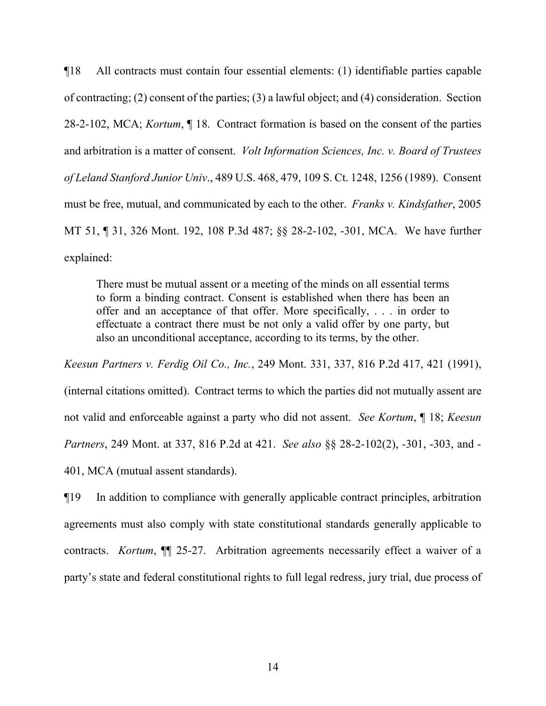¶18 All contracts must contain four essential elements: (1) identifiable parties capable of contracting; (2) consent of the parties; (3) a lawful object; and (4) consideration. Section 28-2-102, MCA; *Kortum*, ¶ 18. Contract formation is based on the consent of the parties and arbitration is a matter of consent. *Volt Information Sciences, Inc. v. Board of Trustees of Leland Stanford Junior Univ*., 489 U.S. 468, 479, 109 S. Ct. 1248, 1256 (1989). Consent must be free, mutual, and communicated by each to the other. *Franks v. Kindsfather*, 2005 MT 51, ¶ 31, 326 Mont. 192, 108 P.3d 487; §§ 28-2-102, -301, MCA. We have further explained:

There must be mutual assent or a meeting of the minds on all essential terms to form a binding contract. Consent is established when there has been an offer and an acceptance of that offer. More specifically, . . . in order to effectuate a contract there must be not only a valid offer by one party, but also an unconditional acceptance, according to its terms, by the other.

*Keesun Partners v. Ferdig Oil Co., Inc.*, 249 Mont. 331, 337, 816 P.2d 417, 421 (1991), (internal citations omitted). Contract terms to which the parties did not mutually assent are not valid and enforceable against a party who did not assent. *See Kortum*, ¶ 18; *Keesun Partners*, 249 Mont. at 337, 816 P.2d at 421. *See also* §§ 28-2-102(2), -301, -303, and - 401, MCA (mutual assent standards).

¶19 In addition to compliance with generally applicable contract principles, arbitration agreements must also comply with state constitutional standards generally applicable to contracts. *Kortum*,  $\P$  25-27. Arbitration agreements necessarily effect a waiver of a party's state and federal constitutional rights to full legal redress, jury trial, due process of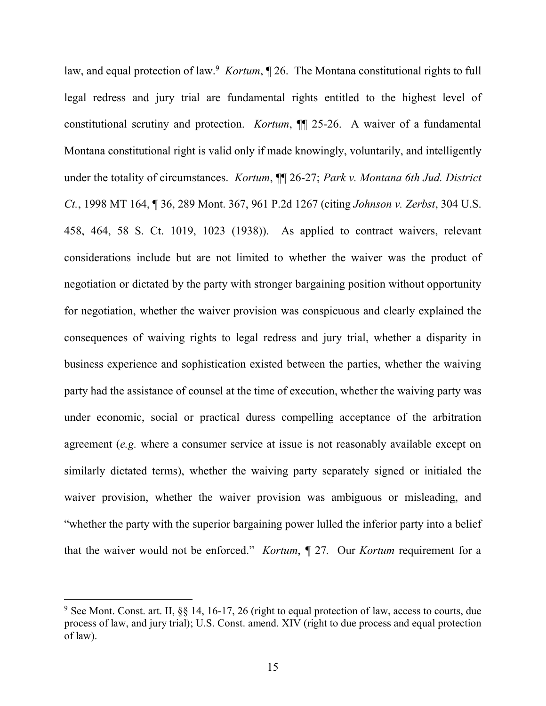law, and equal protection of law.<sup>[9](#page-14-0)</sup> *Kortum*,  $\sqrt{26}$ . The Montana constitutional rights to full legal redress and jury trial are fundamental rights entitled to the highest level of constitutional scrutiny and protection. *Kortum*, ¶¶ 25-26. A waiver of a fundamental Montana constitutional right is valid only if made knowingly, voluntarily, and intelligently under the totality of circumstances. *Kortum*, ¶¶ 26-27; *Park v. Montana 6th Jud. District Ct.*, 1998 MT 164, ¶ 36, 289 Mont. 367, 961 P.2d 1267 (citing *Johnson v. Zerbst*, 304 U.S. 458, 464, 58 S. Ct. 1019, 1023 (1938)). As applied to contract waivers, relevant considerations include but are not limited to whether the waiver was the product of negotiation or dictated by the party with stronger bargaining position without opportunity for negotiation, whether the waiver provision was conspicuous and clearly explained the consequences of waiving rights to legal redress and jury trial, whether a disparity in business experience and sophistication existed between the parties, whether the waiving party had the assistance of counsel at the time of execution, whether the waiving party was under economic, social or practical duress compelling acceptance of the arbitration agreement (*e.g.* where a consumer service at issue is not reasonably available except on similarly dictated terms), whether the waiving party separately signed or initialed the waiver provision, whether the waiver provision was ambiguous or misleading, and "whether the party with the superior bargaining power lulled the inferior party into a belief that the waiver would not be enforced." *Kortum*, *¶* 27*.* Our *Kortum* requirement for a

<span id="page-14-0"></span> $9$  See Mont. Const. art. II,  $88$  14, 16-17, 26 (right to equal protection of law, access to courts, due process of law, and jury trial); U.S. Const. amend. XIV (right to due process and equal protection of law).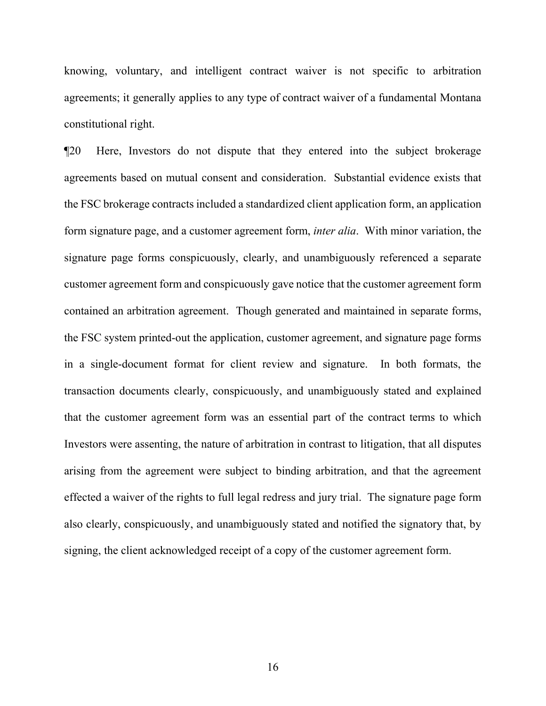knowing, voluntary, and intelligent contract waiver is not specific to arbitration agreements; it generally applies to any type of contract waiver of a fundamental Montana constitutional right.

¶20 Here, Investors do not dispute that they entered into the subject brokerage agreements based on mutual consent and consideration. Substantial evidence exists that the FSC brokerage contracts included a standardized client application form, an application form signature page, and a customer agreement form, *inter alia*. With minor variation, the signature page forms conspicuously, clearly, and unambiguously referenced a separate customer agreement form and conspicuously gave notice that the customer agreement form contained an arbitration agreement. Though generated and maintained in separate forms, the FSC system printed-out the application, customer agreement, and signature page forms in a single-document format for client review and signature. In both formats, the transaction documents clearly, conspicuously, and unambiguously stated and explained that the customer agreement form was an essential part of the contract terms to which Investors were assenting, the nature of arbitration in contrast to litigation, that all disputes arising from the agreement were subject to binding arbitration, and that the agreement effected a waiver of the rights to full legal redress and jury trial. The signature page form also clearly, conspicuously, and unambiguously stated and notified the signatory that, by signing, the client acknowledged receipt of a copy of the customer agreement form.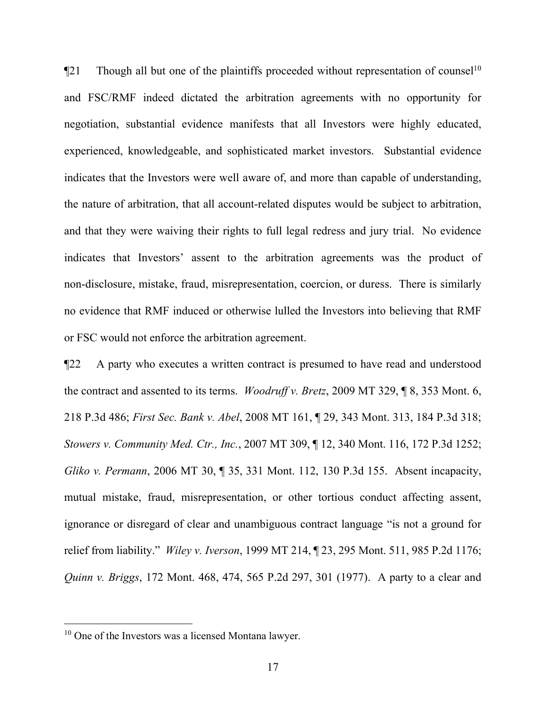$\P$ 21 Though all but one of the plaintiffs proceeded without representation of counsel<sup>[10](#page-16-0)</sup> and FSC/RMF indeed dictated the arbitration agreements with no opportunity for negotiation, substantial evidence manifests that all Investors were highly educated, experienced, knowledgeable, and sophisticated market investors. Substantial evidence indicates that the Investors were well aware of, and more than capable of understanding, the nature of arbitration, that all account-related disputes would be subject to arbitration, and that they were waiving their rights to full legal redress and jury trial. No evidence indicates that Investors' assent to the arbitration agreements was the product of non-disclosure, mistake, fraud, misrepresentation, coercion, or duress. There is similarly no evidence that RMF induced or otherwise lulled the Investors into believing that RMF or FSC would not enforce the arbitration agreement.

¶22 A party who executes a written contract is presumed to have read and understood the contract and assented to its terms. *Woodruff v. Bretz*, 2009 MT 329, ¶ 8, 353 Mont. 6, 218 P.3d 486; *First Sec. Bank v. Abel*, 2008 MT 161, ¶ 29, 343 Mont. 313, 184 P.3d 318; *Stowers v. Community Med. Ctr., Inc.*, 2007 MT 309, ¶ 12, 340 Mont. 116, 172 P.3d 1252; *Gliko v. Permann*, 2006 MT 30, ¶ 35, 331 Mont. 112, 130 P.3d 155. Absent incapacity, mutual mistake, fraud, misrepresentation, or other tortious conduct affecting assent, ignorance or disregard of clear and unambiguous contract language "is not a ground for relief from liability." *Wiley v. Iverson*, 1999 MT 214, ¶ 23, 295 Mont. 511, 985 P.2d 1176; *Quinn v. Briggs*, 172 Mont. 468, 474, 565 P.2d 297, 301 (1977). A party to a clear and

<span id="page-16-0"></span><sup>&</sup>lt;sup>10</sup> One of the Investors was a licensed Montana lawyer.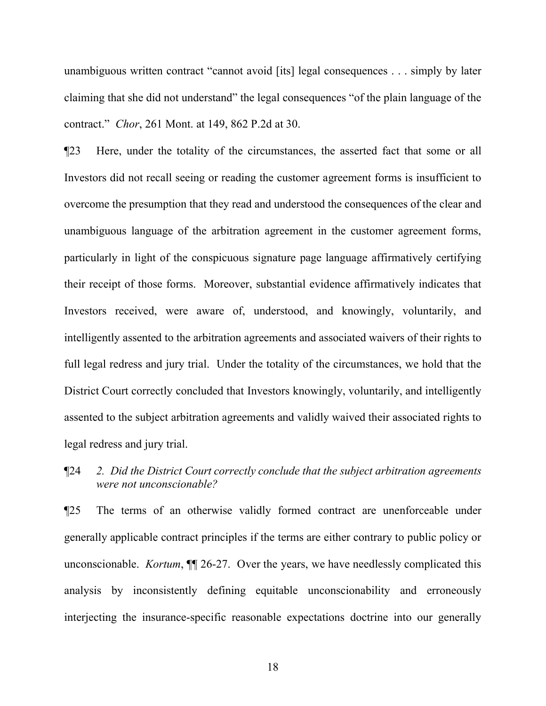unambiguous written contract "cannot avoid [its] legal consequences . . . simply by later claiming that she did not understand" the legal consequences "of the plain language of the contract." *Chor*, 261 Mont. at 149, 862 P.2d at 30.

¶23 Here, under the totality of the circumstances, the asserted fact that some or all Investors did not recall seeing or reading the customer agreement forms is insufficient to overcome the presumption that they read and understood the consequences of the clear and unambiguous language of the arbitration agreement in the customer agreement forms, particularly in light of the conspicuous signature page language affirmatively certifying their receipt of those forms. Moreover, substantial evidence affirmatively indicates that Investors received, were aware of, understood, and knowingly, voluntarily, and intelligently assented to the arbitration agreements and associated waivers of their rights to full legal redress and jury trial. Under the totality of the circumstances, we hold that the District Court correctly concluded that Investors knowingly, voluntarily, and intelligently assented to the subject arbitration agreements and validly waived their associated rights to legal redress and jury trial.

¶24 *2. Did the District Court correctly conclude that the subject arbitration agreements were not unconscionable?*

¶25 The terms of an otherwise validly formed contract are unenforceable under generally applicable contract principles if the terms are either contrary to public policy or unconscionable. *Kortum*, ¶¶ 26-27. Over the years, we have needlessly complicated this analysis by inconsistently defining equitable unconscionability and erroneously interjecting the insurance-specific reasonable expectations doctrine into our generally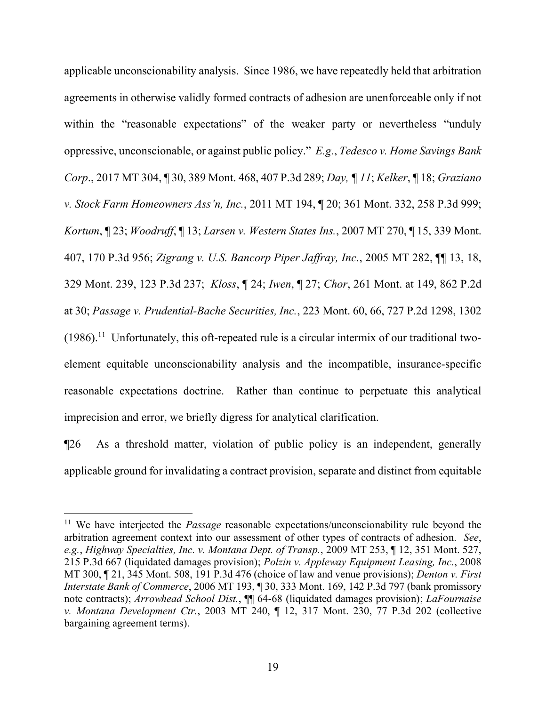applicable unconscionability analysis. Since 1986, we have repeatedly held that arbitration agreements in otherwise validly formed contracts of adhesion are unenforceable only if not within the "reasonable expectations" of the weaker party or nevertheless "unduly oppressive, unconscionable, or against public policy." *E.g.*, *Tedesco v. Home Savings Bank Corp*., 2017 MT 304, ¶ 30, 389 Mont. 468, 407 P.3d 289; *Day, ¶ 11*; *Kelker*, ¶ 18; *Graziano v. Stock Farm Homeowners Ass'n, Inc.*, 2011 MT 194, ¶ 20; 361 Mont. 332, 258 P.3d 999; *Kortum*, ¶ 23; *Woodruff*, ¶ 13; *Larsen v. Western States Ins.*, 2007 MT 270, ¶ 15, 339 Mont. 407, 170 P.3d 956; *Zigrang v. U.S. Bancorp Piper Jaffray, Inc.*, 2005 MT 282, ¶¶ 13, 18, 329 Mont. 239, 123 P.3d 237; *Kloss*, ¶ 24; *Iwen*, ¶ 27; *Chor*, 261 Mont. at 149, 862 P.2d at 30; *Passage v. Prudential-Bache Securities, Inc.*, 223 Mont. 60, 66, 727 P.2d 1298, 1302  $(1986).$ <sup>[11](#page-18-0)</sup> Unfortunately, this oft-repeated rule is a circular intermix of our traditional twoelement equitable unconscionability analysis and the incompatible, insurance-specific reasonable expectations doctrine. Rather than continue to perpetuate this analytical imprecision and error, we briefly digress for analytical clarification.

¶26 As a threshold matter, violation of public policy is an independent, generally applicable ground for invalidating a contract provision, separate and distinct from equitable

<span id="page-18-0"></span><sup>&</sup>lt;sup>11</sup> We have interjected the *Passage* reasonable expectations/unconscionability rule beyond the arbitration agreement context into our assessment of other types of contracts of adhesion. *See*, *e.g.*, *Highway Specialties, Inc. v. Montana Dept. of Transp.*, 2009 MT 253, ¶ 12, 351 Mont. 527, 215 P.3d 667 (liquidated damages provision); *Polzin v. Appleway Equipment Leasing, Inc.*, 2008 MT 300, ¶ 21, 345 Mont. 508, 191 P.3d 476 (choice of law and venue provisions); *Denton v. First Interstate Bank of Commerce*, 2006 MT 193, ¶ 30, 333 Mont. 169, 142 P.3d 797 (bank promissory note contracts); *Arrowhead School Dist.*, ¶¶ 64-68 (liquidated damages provision); *LaFournaise v. Montana Development Ctr.*, 2003 MT 240, ¶ 12, 317 Mont. 230, 77 P.3d 202 (collective bargaining agreement terms).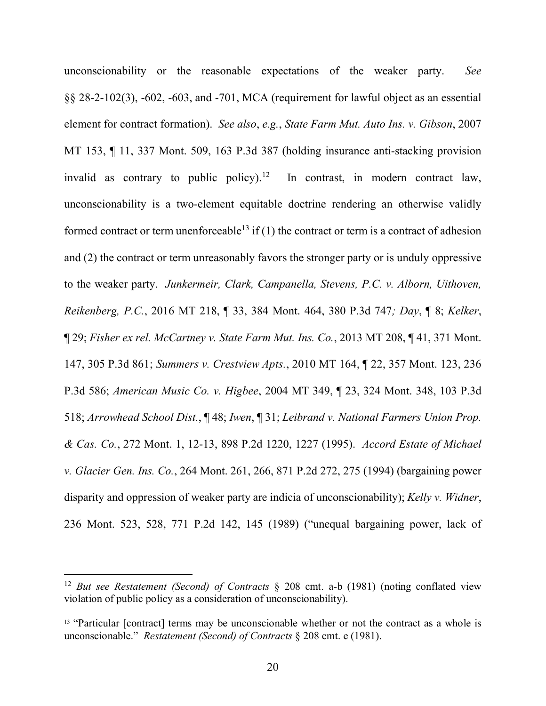unconscionability or the reasonable expectations of the weaker party. *See* §§ 28-2-102(3), -602, -603, and -701, MCA (requirement for lawful object as an essential element for contract formation). *See also*, *e.g.*, *State Farm Mut. Auto Ins. v. Gibson*, 2007 MT 153, ¶ 11, 337 Mont. 509, 163 P.3d 387 (holding insurance anti-stacking provision invalid as contrary to public policy).<sup>[12](#page-19-0)</sup> In contrast, in modern contract law, unconscionability is a two-element equitable doctrine rendering an otherwise validly formed contract or term unenforceable<sup>[13](#page-19-1)</sup> if (1) the contract or term is a contract of adhesion and (2) the contract or term unreasonably favors the stronger party or is unduly oppressive to the weaker party. *Junkermeir, Clark, Campanella, Stevens, P.C. v. Alborn, Uithoven, Reikenberg, P.C.*, 2016 MT 218, ¶ 33, 384 Mont. 464, 380 P.3d 747*; Day*, ¶ 8; *Kelker*, ¶ 29; *Fisher ex rel. McCartney v. State Farm Mut. Ins. Co.*, 2013 MT 208, ¶ 41, 371 Mont. 147, 305 P.3d 861; *Summers v. Crestview Apts.*, 2010 MT 164, ¶ 22, 357 Mont. 123, 236 P.3d 586; *American Music Co. v. Higbee*, 2004 MT 349, ¶ 23, 324 Mont. 348, 103 P.3d 518; *Arrowhead School Dist.*, ¶ 48; *Iwen*, ¶ 31; *Leibrand v. National Farmers Union Prop. & Cas. Co.*, 272 Mont. 1, 12-13, 898 P.2d 1220, 1227 (1995). *Accord Estate of Michael v. Glacier Gen. Ins. Co.*, 264 Mont. 261, 266, 871 P.2d 272, 275 (1994) (bargaining power disparity and oppression of weaker party are indicia of unconscionability); *Kelly v. Widner*, 236 Mont. 523, 528, 771 P.2d 142, 145 (1989) ("unequal bargaining power, lack of

<span id="page-19-0"></span><sup>12</sup> *But see Restatement (Second) of Contracts* § 208 cmt. a-b (1981) (noting conflated view violation of public policy as a consideration of unconscionability).

<span id="page-19-1"></span><sup>&</sup>lt;sup>13</sup> "Particular [contract] terms may be unconscionable whether or not the contract as a whole is unconscionable." *Restatement (Second) of Contracts* § 208 cmt. e (1981).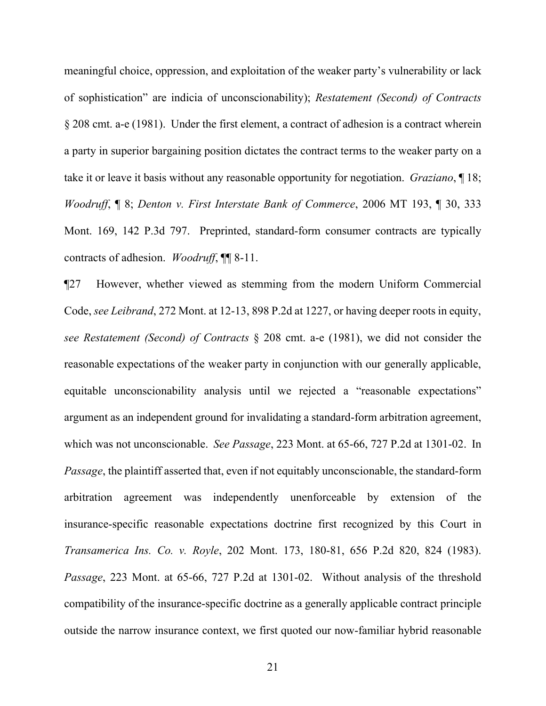meaningful choice, oppression, and exploitation of the weaker party's vulnerability or lack of sophistication" are indicia of unconscionability); *Restatement (Second) of Contracts* § 208 cmt. a-e (1981). Under the first element, a contract of adhesion is a contract wherein a party in superior bargaining position dictates the contract terms to the weaker party on a take it or leave it basis without any reasonable opportunity for negotiation. *Graziano*, ¶ 18; *Woodruff*, ¶ 8; *Denton v. First Interstate Bank of Commerce*, 2006 MT 193, ¶ 30, 333 Mont. 169, 142 P.3d 797. Preprinted, standard-form consumer contracts are typically contracts of adhesion. *Woodruff*, ¶¶ 8-11.

¶27 However, whether viewed as stemming from the modern Uniform Commercial Code, *see Leibrand*, 272 Mont. at 12-13, 898 P.2d at 1227, or having deeper roots in equity, *see Restatement (Second) of Contracts* § 208 cmt. a-e (1981), we did not consider the reasonable expectations of the weaker party in conjunction with our generally applicable, equitable unconscionability analysis until we rejected a "reasonable expectations" argument as an independent ground for invalidating a standard-form arbitration agreement, which was not unconscionable. *See Passage*, 223 Mont. at 65-66, 727 P.2d at 1301-02. In *Passage*, the plaintiff asserted that, even if not equitably unconscionable, the standard-form arbitration agreement was independently unenforceable by extension of the insurance-specific reasonable expectations doctrine first recognized by this Court in *Transamerica Ins. Co. v. Royle*, 202 Mont. 173, 180-81, 656 P.2d 820, 824 (1983). *Passage*, 223 Mont. at 65-66, 727 P.2d at 1301-02. Without analysis of the threshold compatibility of the insurance-specific doctrine as a generally applicable contract principle outside the narrow insurance context, we first quoted our now-familiar hybrid reasonable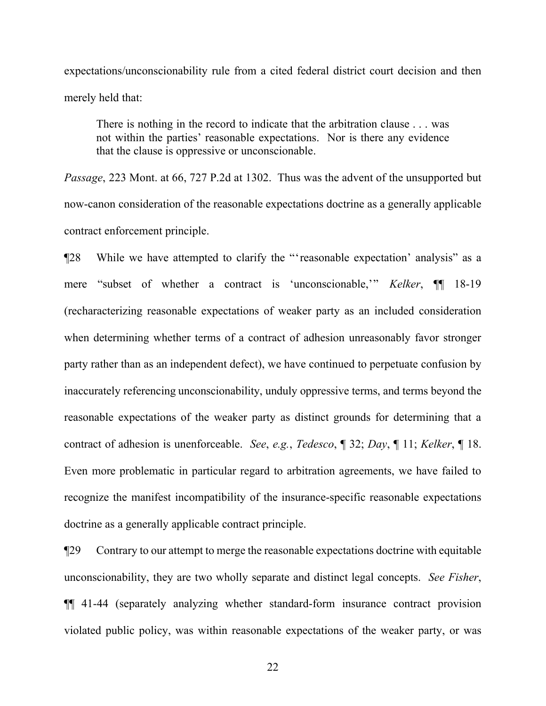expectations/unconscionability rule from a cited federal district court decision and then merely held that:

There is nothing in the record to indicate that the arbitration clause . . . was not within the parties' reasonable expectations. Nor is there any evidence that the clause is oppressive or unconscionable.

*Passage*, 223 Mont. at 66, 727 P.2d at 1302. Thus was the advent of the unsupported but now-canon consideration of the reasonable expectations doctrine as a generally applicable contract enforcement principle.

¶28 While we have attempted to clarify the "'reasonable expectation' analysis" as a mere "subset of whether a contract is 'unconscionable,'" *Kelker*, ¶¶ 18-19 (recharacterizing reasonable expectations of weaker party as an included consideration when determining whether terms of a contract of adhesion unreasonably favor stronger party rather than as an independent defect), we have continued to perpetuate confusion by inaccurately referencing unconscionability, unduly oppressive terms, and terms beyond the reasonable expectations of the weaker party as distinct grounds for determining that a contract of adhesion is unenforceable. *See*, *e.g.*, *Tedesco*, ¶ 32; *Day*, ¶ 11; *Kelker*, ¶ 18. Even more problematic in particular regard to arbitration agreements, we have failed to recognize the manifest incompatibility of the insurance-specific reasonable expectations doctrine as a generally applicable contract principle.

¶29 Contrary to our attempt to merge the reasonable expectations doctrine with equitable unconscionability, they are two wholly separate and distinct legal concepts. *See Fisher*, ¶¶ 41-44 (separately analyzing whether standard-form insurance contract provision violated public policy, was within reasonable expectations of the weaker party, or was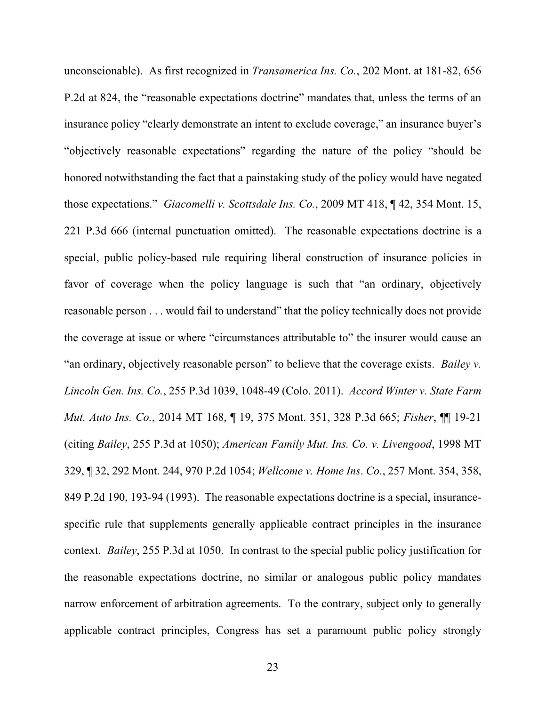unconscionable). As first recognized in *Transamerica Ins. Co.*, 202 Mont. at 181-82, 656 P.2d at 824, the "reasonable expectations doctrine" mandates that, unless the terms of an insurance policy "clearly demonstrate an intent to exclude coverage," an insurance buyer's "objectively reasonable expectations" regarding the nature of the policy "should be honored notwithstanding the fact that a painstaking study of the policy would have negated those expectations." *Giacomelli v. Scottsdale Ins. Co.*, 2009 MT 418, ¶ 42, 354 Mont. 15, 221 P.3d 666 (internal punctuation omitted). The reasonable expectations doctrine is a special, public policy-based rule requiring liberal construction of insurance policies in favor of coverage when the policy language is such that "an ordinary, objectively reasonable person . . . would fail to understand" that the policy technically does not provide the coverage at issue or where "circumstances attributable to" the insurer would cause an "an ordinary, objectively reasonable person" to believe that the coverage exists. *Bailey v. Lincoln Gen. Ins. Co.*, 255 P.3d 1039, 1048-49 (Colo. 2011). *Accord Winter v. State Farm Mut. Auto Ins. Co.*, 2014 MT 168, ¶ 19, 375 Mont. 351, 328 P.3d 665; *Fisher*, ¶¶ 19-21 (citing *Bailey*, 255 P.3d at 1050); *American Family Mut. Ins. Co. v. Livengood*, 1998 MT 329, ¶ 32, 292 Mont. 244, 970 P.2d 1054; *Wellcome v. Home Ins*. *Co.*, 257 Mont. 354, 358, 849 P.2d 190, 193-94 (1993). The reasonable expectations doctrine is a special, insurancespecific rule that supplements generally applicable contract principles in the insurance context. *Bailey*, 255 P.3d at 1050. In contrast to the special public policy justification for the reasonable expectations doctrine, no similar or analogous public policy mandates narrow enforcement of arbitration agreements. To the contrary, subject only to generally applicable contract principles, Congress has set a paramount public policy strongly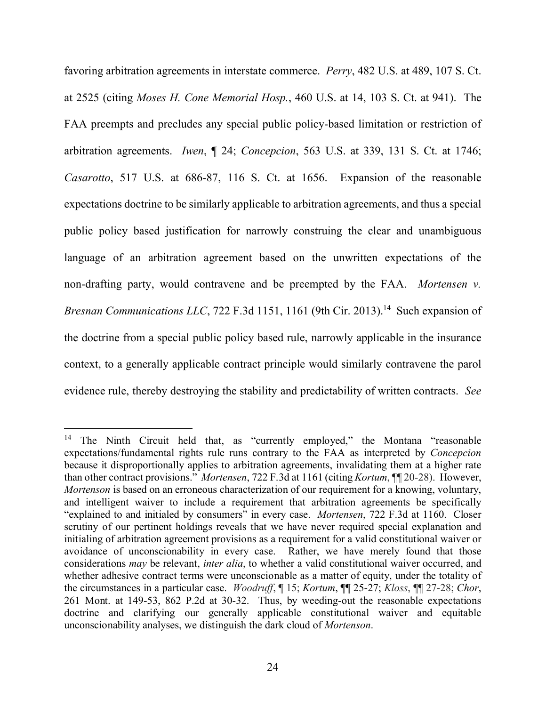favoring arbitration agreements in interstate commerce. *Perry*, 482 U.S. at 489, 107 S. Ct. at 2525 (citing *Moses H. Cone Memorial Hosp.*, 460 U.S. at 14, 103 S. Ct. at 941). The FAA preempts and precludes any special public policy-based limitation or restriction of arbitration agreements. *Iwen*, ¶ 24; *Concepcion*, 563 U.S. at 339, 131 S. Ct. at 1746; *Casarotto*, 517 U.S. at 686-87, 116 S. Ct. at 1656. Expansion of the reasonable expectations doctrine to be similarly applicable to arbitration agreements, and thus a special public policy based justification for narrowly construing the clear and unambiguous language of an arbitration agreement based on the unwritten expectations of the non-drafting party, would contravene and be preempted by the FAA. *Mortensen v. Bresnan Communications LLC*, 722 F.3d 1151, 1161 (9th Cir. 2013).<sup>[14](#page-23-0)</sup> Such expansion of the doctrine from a special public policy based rule, narrowly applicable in the insurance context, to a generally applicable contract principle would similarly contravene the parol evidence rule, thereby destroying the stability and predictability of written contracts. *See* 

<span id="page-23-0"></span><sup>&</sup>lt;sup>14</sup> The Ninth Circuit held that, as "currently employed," the Montana "reasonable expectations/fundamental rights rule runs contrary to the FAA as interpreted by *Concepcion* because it disproportionally applies to arbitration agreements, invalidating them at a higher rate than other contract provisions." *Mortensen*, 722 F.3d at 1161 (citing *Kortum*, ¶¶ 20-28). However, *Mortenson* is based on an erroneous characterization of our requirement for a knowing, voluntary, and intelligent waiver to include a requirement that arbitration agreements be specifically "explained to and initialed by consumers" in every case. *Mortensen*, 722 F.3d at 1160. Closer scrutiny of our pertinent holdings reveals that we have never required special explanation and initialing of arbitration agreement provisions as a requirement for a valid constitutional waiver or avoidance of unconscionability in every case. Rather, we have merely found that those considerations *may* be relevant, *inter alia*, to whether a valid constitutional waiver occurred, and whether adhesive contract terms were unconscionable as a matter of equity, under the totality of the circumstances in a particular case. *Woodruff*, ¶ 15; *Kortum*, ¶¶ 25-27; *Kloss*, ¶¶ 27-28; *Chor*, 261 Mont. at 149-53, 862 P.2d at 30-32. Thus, by weeding-out the reasonable expectations doctrine and clarifying our generally applicable constitutional waiver and equitable unconscionability analyses, we distinguish the dark cloud of *Mortenson*.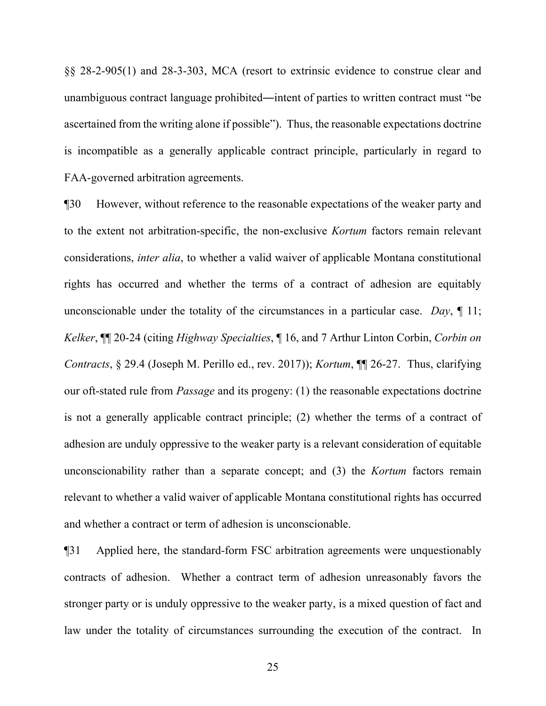§§ 28-2-905(1) and 28-3-303, MCA (resort to extrinsic evidence to construe clear and unambiguous contract language prohibited―intent of parties to written contract must "be ascertained from the writing alone if possible"). Thus, the reasonable expectations doctrine is incompatible as a generally applicable contract principle, particularly in regard to FAA-governed arbitration agreements.

¶30 However, without reference to the reasonable expectations of the weaker party and to the extent not arbitration-specific, the non-exclusive *Kortum* factors remain relevant considerations, *inter alia*, to whether a valid waiver of applicable Montana constitutional rights has occurred and whether the terms of a contract of adhesion are equitably unconscionable under the totality of the circumstances in a particular case. *Day*, ¶ 11; *Kelker*, ¶¶ 20-24 (citing *Highway Specialties*, ¶ 16, and 7 Arthur Linton Corbin, *Corbin on Contracts*, § 29.4 (Joseph M. Perillo ed., rev. 2017)); *Kortum*, ¶¶ 26-27. Thus, clarifying our oft-stated rule from *Passage* and its progeny: (1) the reasonable expectations doctrine is not a generally applicable contract principle; (2) whether the terms of a contract of adhesion are unduly oppressive to the weaker party is a relevant consideration of equitable unconscionability rather than a separate concept; and (3) the *Kortum* factors remain relevant to whether a valid waiver of applicable Montana constitutional rights has occurred and whether a contract or term of adhesion is unconscionable.

¶31 Applied here, the standard-form FSC arbitration agreements were unquestionably contracts of adhesion. Whether a contract term of adhesion unreasonably favors the stronger party or is unduly oppressive to the weaker party, is a mixed question of fact and law under the totality of circumstances surrounding the execution of the contract. In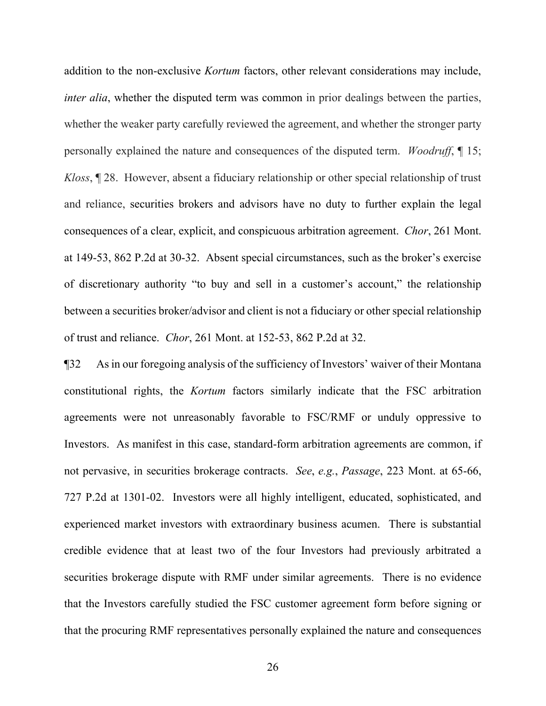addition to the non-exclusive *Kortum* factors, other relevant considerations may include, *inter alia*, whether the disputed term was common in prior dealings between the parties, whether the weaker party carefully reviewed the agreement, and whether the stronger party personally explained the nature and consequences of the disputed term. *Woodruff*, ¶ 15; *Kloss*, ¶ 28. However, absent a fiduciary relationship or other special relationship of trust and reliance, securities brokers and advisors have no duty to further explain the legal consequences of a clear, explicit, and conspicuous arbitration agreement. *Chor*, 261 Mont. at 149-53, 862 P.2d at 30-32. Absent special circumstances, such as the broker's exercise of discretionary authority "to buy and sell in a customer's account," the relationship between a securities broker/advisor and client is not a fiduciary or other special relationship of trust and reliance. *Chor*, 261 Mont. at 152-53, 862 P.2d at 32.

¶32 As in our foregoing analysis of the sufficiency of Investors' waiver of their Montana constitutional rights, the *Kortum* factors similarly indicate that the FSC arbitration agreements were not unreasonably favorable to FSC/RMF or unduly oppressive to Investors. As manifest in this case, standard-form arbitration agreements are common, if not pervasive, in securities brokerage contracts. *See*, *e.g.*, *Passage*, 223 Mont. at 65-66, 727 P.2d at 1301-02. Investors were all highly intelligent, educated, sophisticated, and experienced market investors with extraordinary business acumen. There is substantial credible evidence that at least two of the four Investors had previously arbitrated a securities brokerage dispute with RMF under similar agreements. There is no evidence that the Investors carefully studied the FSC customer agreement form before signing or that the procuring RMF representatives personally explained the nature and consequences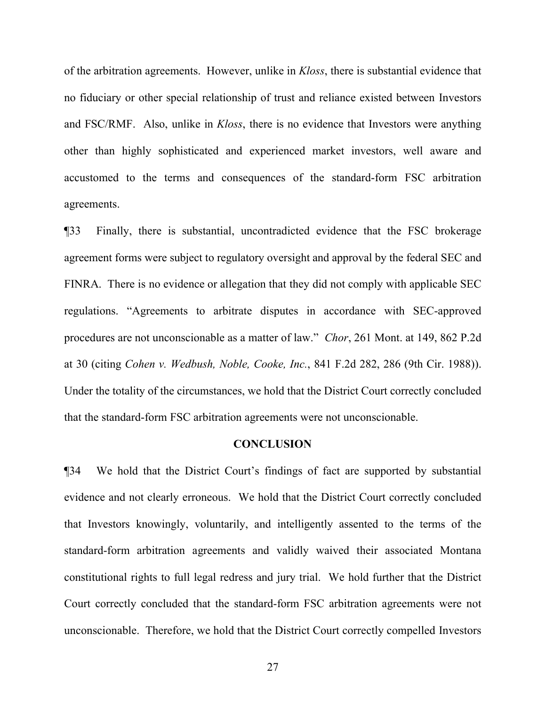of the arbitration agreements. However, unlike in *Kloss*, there is substantial evidence that no fiduciary or other special relationship of trust and reliance existed between Investors and FSC/RMF. Also, unlike in *Kloss*, there is no evidence that Investors were anything other than highly sophisticated and experienced market investors, well aware and accustomed to the terms and consequences of the standard-form FSC arbitration agreements.

¶33 Finally, there is substantial, uncontradicted evidence that the FSC brokerage agreement forms were subject to regulatory oversight and approval by the federal SEC and FINRA. There is no evidence or allegation that they did not comply with applicable SEC regulations. "Agreements to arbitrate disputes in accordance with SEC-approved procedures are not unconscionable as a matter of law." *Chor*, 261 Mont. at 149, 862 P.2d at 30 (citing *Cohen v. Wedbush, Noble, Cooke, Inc.*, 841 F.2d 282, 286 (9th Cir. 1988)). Under the totality of the circumstances, we hold that the District Court correctly concluded that the standard-form FSC arbitration agreements were not unconscionable.

#### **CONCLUSION**

¶34 We hold that the District Court's findings of fact are supported by substantial evidence and not clearly erroneous. We hold that the District Court correctly concluded that Investors knowingly, voluntarily, and intelligently assented to the terms of the standard-form arbitration agreements and validly waived their associated Montana constitutional rights to full legal redress and jury trial. We hold further that the District Court correctly concluded that the standard-form FSC arbitration agreements were not unconscionable. Therefore, we hold that the District Court correctly compelled Investors